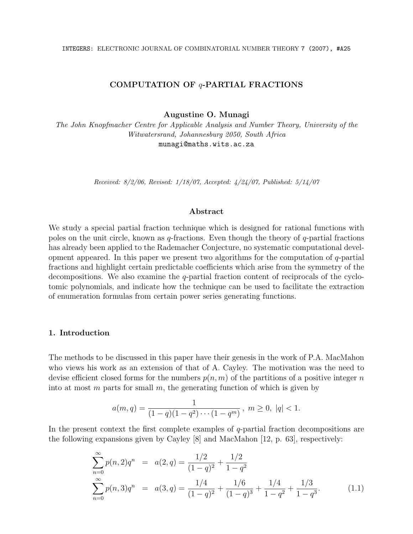# COMPUTATION OF q-PARTIAL FRACTIONS

Augustine O. Munagi

The John Knopfmacher Centre for Applicable Analysis and Number Theory, University of the Witwatersrand, Johannesburg 2050, South Africa munagi@maths.wits.ac.za

Received: 8/2/06, Revised: 1/18/07, Accepted: 4/24/07, Published: 5/14/07

#### Abstract

We study a special partial fraction technique which is designed for rational functions with poles on the unit circle, known as  $q$ -fractions. Even though the theory of  $q$ -partial fractions has already been applied to the Rademacher Conjecture, no systematic computational development appeared. In this paper we present two algorithms for the computation of  $q$ -partial fractions and highlight certain predictable coefficients which arise from the symmetry of the decompositions. We also examine the  $q$ -partial fraction content of reciprocals of the cyclotomic polynomials, and indicate how the technique can be used to facilitate the extraction of enumeration formulas from certain power series generating functions.

#### 1. Introduction

The methods to be discussed in this paper have their genesis in the work of P.A. MacMahon who views his work as an extension of that of A. Cayley. The motivation was the need to devise efficient closed forms for the numbers  $p(n, m)$  of the partitions of a positive integer n into at most m parts for small m, the generating function of which is given by

$$
a(m,q) = \frac{1}{(1-q)(1-q^2)\cdots(1-q^m)}, \ m \ge 0, \ |q| < 1.
$$

In the present context the first complete examples of q-partial fraction decompositions are the following expansions given by Cayley [8] and MacMahon [12, p. 63], respectively:

$$
\sum_{n=0}^{\infty} p(n, 2) q^n = a(2, q) = \frac{1/2}{(1-q)^2} + \frac{1/2}{1-q^2}
$$
  

$$
\sum_{n=0}^{\infty} p(n, 3) q^n = a(3, q) = \frac{1/4}{(1-q)^2} + \frac{1/6}{(1-q)^3} + \frac{1/4}{1-q^2} + \frac{1/3}{1-q^3}.
$$
 (1.1)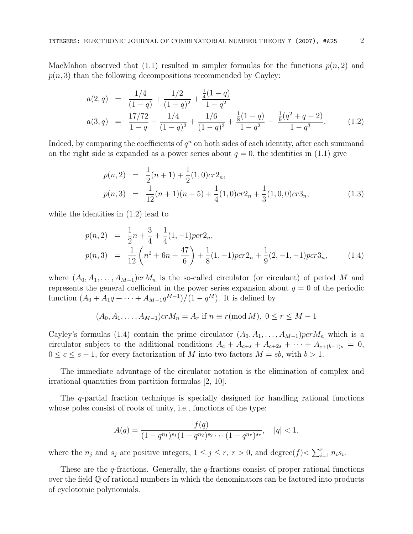MacMahon observed that (1.1) resulted in simpler formulas for the functions  $p(n, 2)$  and  $p(n, 3)$  than the following decompositions recommended by Cayley:

$$
a(2,q) = \frac{1/4}{(1-q)} + \frac{1/2}{(1-q)^2} + \frac{\frac{1}{4}(1-q)}{1-q^2}
$$
  

$$
a(3,q) = \frac{17/72}{1-q} + \frac{1/4}{(1-q)^2} + \frac{1/6}{(1-q)^3} + \frac{\frac{1}{8}(1-q)}{1-q^2} + \frac{\frac{1}{9}(q^2+q-2)}{1-q^3}.
$$
 (1.2)

Indeed, by comparing the coefficients of  $q^n$  on both sides of each identity, after each summand on the right side is expanded as a power series about  $q = 0$ , the identities in (1.1) give

$$
p(n,2) = \frac{1}{2}(n+1) + \frac{1}{2}(1,0)cr2_n,
$$
  
\n
$$
p(n,3) = \frac{1}{12}(n+1)(n+5) + \frac{1}{4}(1,0)cr2_n + \frac{1}{3}(1,0,0)cr3_n,
$$
\n(1.3)

while the identities in (1.2) lead to

$$
p(n,2) = \frac{1}{2}n + \frac{3}{4} + \frac{1}{4}(1,-1)pcr2_n,
$$
  
\n
$$
p(n,3) = \frac{1}{12}\left(n^2 + 6n + \frac{47}{6}\right) + \frac{1}{8}(1,-1)pcr2_n + \frac{1}{9}(2,-1,-1)pcr3_n,
$$
\n(1.4)

where  $(A_0, A_1, \ldots, A_{M-1})$  cr $M_n$  is the so-called circulator (or circulant) of period M and represents the general coefficient in the power series expansion about  $q = 0$  of the periodic function  $(A_0 + A_1q + \cdots + A_{M-1}q^{M-1})/(1 - q^M)$ . It is defined by

$$
(A_0, A_1, ..., A_{M-1})crM_n = A_r
$$
 if  $n \equiv r \pmod{M}$ ,  $0 \le r \le M - 1$ 

Cayley's formulas (1.4) contain the prime circulator  $(A_0, A_1, \ldots, A_{M-1})$  pcr $M_n$  which is a circulator subject to the additional conditions  $A_c + A_{c+s} + A_{c+2s} + \cdots + A_{c+(b-1)s} = 0$ ,  $0 \leq c \leq s-1$ , for every factorization of M into two factors  $M = sb$ , with  $b > 1$ .

The immediate advantage of the circulator notation is the elimination of complex and irrational quantities from partition formulas [2, 10].

The q-partial fraction technique is specially designed for handling rational functions whose poles consist of roots of unity, i.e., functions of the type:

$$
A(q) = \frac{f(q)}{(1 - q^{n_1})^{s_1}(1 - q^{n_2})^{s_2} \cdots (1 - q^{n_r})^{s_r}}, \quad |q| < 1,
$$

where the  $n_j$  and  $s_j$  are positive integers,  $1 \leq j \leq r$ ,  $r > 0$ , and  $\text{degree}(f) < \sum_{i=1}^r n_i s_i$ .

These are the  $q$ -fractions. Generally, the  $q$ -fractions consist of proper rational functions over the field  $\mathbb Q$  of rational numbers in which the denominators can be factored into products of cyclotomic polynomials.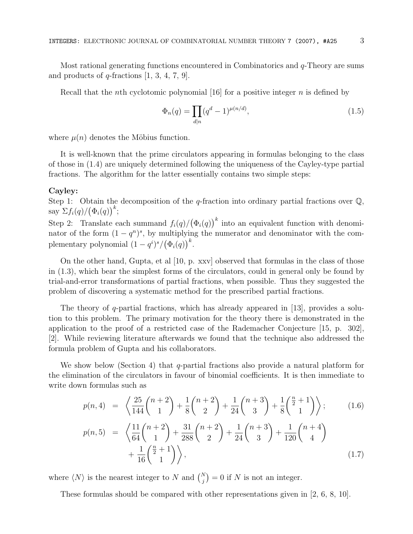Most rational generating functions encountered in Combinatorics and q-Theory are sums and products of  $q$ -fractions  $[1, 3, 4, 7, 9]$ .

Recall that the *n*th cyclotomic polynomial [16] for a positive integer *n* is defined by

$$
\Phi_n(q) = \prod_{d|n} (q^d - 1)^{\mu(n/d)},\tag{1.5}
$$

where  $\mu(n)$  denotes the Möbius function.

It is well-known that the prime circulators appearing in formulas belonging to the class of those in (1.4) are uniquely determined following the uniqueness of the Cayley-type partial fractions. The algorithm for the latter essentially contains two simple steps:

### Cayley:

Step 1: Obtain the decomposition of the q-fraction into ordinary partial fractions over  $\mathbb{Q}$ , say  $\Sigma f_i(q)/(\Phi_i(q))^k$ ;

Step 2: Translate each summand  $f_i(q)/(\Phi_i(q))^k$  into an equivalent function with denominator of the form  $(1 - q^n)^s$ , by multiplying the numerator and denominator with the complementary polynomial  $(1 - q^i)^s / (\Phi_i(q))^k$ .

On the other hand, Gupta, et al [10, p. xxv] observed that formulas in the class of those in (1.3), which bear the simplest forms of the circulators, could in general only be found by trial-and-error transformations of partial fractions, when possible. Thus they suggested the problem of discovering a systematic method for the prescribed partial fractions.

The theory of q-partial fractions, which has already appeared in [13], provides a solution to this problem. The primary motivation for the theory there is demonstrated in the application to the proof of a restricted case of the Rademacher Conjecture [15, p. 302], [2]. While reviewing literature afterwards we found that the technique also addressed the formula problem of Gupta and his collaborators.

We show below (Section 4) that q-partial fractions also provide a natural platform for the elimination of the circulators in favour of binomial coefficients. It is then immediate to write down formulas such as

$$
p(n,4) = \left\langle \frac{25}{144} {n+2 \choose 1} + \frac{1}{8} {n+2 \choose 2} + \frac{1}{24} {n+3 \choose 3} + \frac{1}{8} {\frac{n+1}{2 \choose 1}} \right\rangle; \qquad (1.6)
$$
  

$$
p(n,5) = \left\langle \frac{11}{64} {n+2 \choose 1} + \frac{31}{288} {n+2 \choose 2} + \frac{1}{24} {n+3 \choose 3} + \frac{1}{120} {n+4 \choose 4} + \frac{1}{16} {\frac{n}{2}+1 \choose 1} \right\rangle, \qquad (1.7)
$$

where  $\langle N \rangle$  is the nearest integer to N and  $\binom{N}{j} = 0$  if N is not an integer.

These formulas should be compared with other representations given in [2, 6, 8, 10].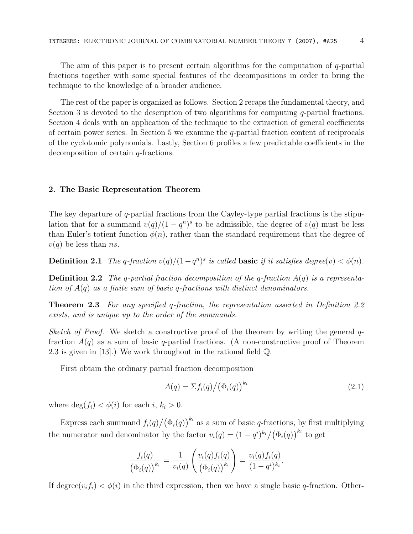The aim of this paper is to present certain algorithms for the computation of q-partial fractions together with some special features of the decompositions in order to bring the technique to the knowledge of a broader audience.

The rest of the paper is organized as follows. Section 2 recaps the fundamental theory, and Section 3 is devoted to the description of two algorithms for computing  $q$ -partial fractions. Section 4 deals with an application of the technique to the extraction of general coefficients of certain power series. In Section 5 we examine the  $q$ -partial fraction content of reciprocals of the cyclotomic polynomials. Lastly, Section 6 profiles a few predictable coefficients in the decomposition of certain q-fractions.

### 2. The Basic Representation Theorem

The key departure of  $q$ -partial fractions from the Cayley-type partial fractions is the stipulation that for a summand  $v(q)/(1-q^n)^s$  to be admissible, the degree of  $v(q)$  must be less than Euler's totient function  $\phi(n)$ , rather than the standard requirement that the degree of  $v(q)$  be less than *ns*.

**Definition 2.1** The q-fraction  $v(q)/(1-q^n)^s$  is called **basic** if it satisfies degree(v) <  $\phi(n)$ .

**Definition 2.2** The q-partial fraction decomposition of the q-fraction  $A(q)$  is a representation of  $A(q)$  as a finite sum of basic q-fractions with distinct denominators.

Theorem 2.3 For any specified q-fraction, the representation asserted in Definition 2.2 exists, and is unique up to the order of the summands.

Sketch of Proof. We sketch a constructive proof of the theorem by writing the general  $q$ fraction  $A(q)$  as a sum of basic q-partial fractions. (A non-constructive proof of Theorem 2.3 is given in [13].) We work throughout in the rational field Q.

First obtain the ordinary partial fraction decomposition

$$
A(q) = \Sigma f_i(q) / \left(\Phi_i(q)\right)^{k_i} \tag{2.1}
$$

.

where  $\deg(f_i) < \phi(i)$  for each i,  $k_i > 0$ .

Express each summand  $f_i(q)/(\Phi_i(q))^{k_i}$  as a sum of basic q-fractions, by first multiplying the numerator and denominator by the factor  $v_i(q) = (1 - q^i)^{k_i} / (\Phi_i(q))^{k_i}$  to get

$$
\frac{f_i(q)}{(\Phi_i(q))^{k_i}} = \frac{1}{v_i(q)} \left( \frac{v_i(q) f_i(q)}{(\Phi_i(q))^{k_i}} \right) = \frac{v_i(q) f_i(q)}{(1 - q^i)^{k_i}}
$$

If degree $(v_i f_i) < \phi(i)$  in the third expression, then we have a single basic q-fraction. Other-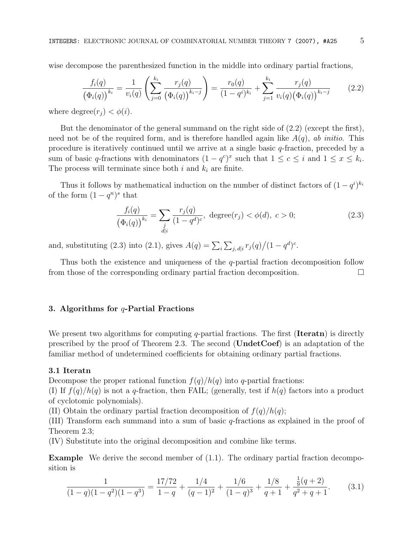wise decompose the parenthesized function in the middle into ordinary partial fractions,

$$
\frac{f_i(q)}{(\Phi_i(q))^{k_i}} = \frac{1}{v_i(q)} \left( \sum_{j=0}^{k_i} \frac{r_j(q)}{(\Phi_i(q))^{k_i-j}} \right) = \frac{r_0(q)}{(1-q^i)^{k_i}} + \sum_{j=1}^{k_i} \frac{r_j(q)}{v_i(q) (\Phi_i(q))^{k_i-j}} \tag{2.2}
$$

where degree $(r_i) < \phi(i)$ .

But the denominator of the general summand on the right side of (2.2) (except the first), need not be of the required form, and is therefore handled again like  $A(q)$ , ab initio. This procedure is iteratively continued until we arrive at a single basic q-fraction, preceded by a sum of basic q-fractions with denominators  $(1 - q^c)^x$  such that  $1 \leq c \leq i$  and  $1 \leq x \leq k_i$ . The process will terminate since both  $i$  and  $k_i$  are finite.

Thus it follows by mathematical induction on the number of distinct factors of  $(1 - q<sup>i</sup>)<sup>k<sub>i</sub></sup>$ of the form  $(1-q^n)^s$  that

$$
\frac{f_i(q)}{(\Phi_i(q))^{k_i}} = \sum_{\substack{j\\d|i}} \frac{r_j(q)}{(1-q^d)^c}, \text{ degree}(r_j) < \phi(d), \ c > 0; \tag{2.3}
$$

and, substituting (2.3) into (2.1), gives  $A(q) = \sum_i \sum_{j, d|i} r_j(q)/(1-q^d)^c$ .

Thus both the existence and uniqueness of the q-partial fraction decomposition follow from those of the corresponding ordinary partial fraction decomposition.  $\Box$ 

# 3. Algorithms for  $q$ -Partial Fractions

We present two algorithms for computing  $q$ -partial fractions. The first (**Iterati**) is directly prescribed by the proof of Theorem 2.3. The second ( $\text{UnderCoef}$ ) is an adaptation of the familiar method of undetermined coefficients for obtaining ordinary partial fractions.

### 3.1 Iteratn

Decompose the proper rational function  $f(q)/h(q)$  into q-partial fractions:

(I) If  $f(q)/h(q)$  is not a q-fraction, then FAIL; (generally, test if  $h(q)$  factors into a product of cyclotomic polynomials).

(II) Obtain the ordinary partial fraction decomposition of  $f(q)/h(q)$ ;

(III) Transform each summand into a sum of basic q-fractions as explained in the proof of Theorem 2.3;

(IV) Substitute into the original decomposition and combine like terms.

Example We derive the second member of (1.1). The ordinary partial fraction decomposition is

$$
\frac{1}{(1-q)(1-q^2)(1-q^3)} = \frac{17/72}{1-q} + \frac{1/4}{(q-1)^2} + \frac{1/6}{(1-q)^3} + \frac{1/8}{q+1} + \frac{\frac{1}{9}(q+2)}{q^2+q+1}.
$$
 (3.1)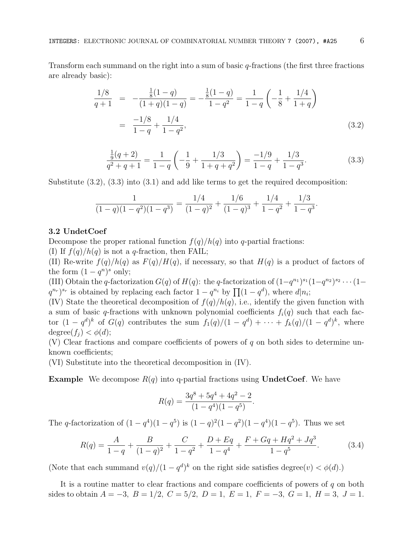Transform each summand on the right into a sum of basic  $q$ -fractions (the first three fractions are already basic):

$$
\frac{1/8}{q+1} = -\frac{\frac{1}{8}(1-q)}{(1+q)(1-q)} = -\frac{\frac{1}{8}(1-q)}{1-q^2} = \frac{1}{1-q} \left( -\frac{1}{8} + \frac{1/4}{1+q} \right)
$$

$$
= \frac{-1/8}{1-q} + \frac{1/4}{1-q^2},
$$
(3.2)

$$
\frac{\frac{1}{9}(q+2)}{q^2+q+1} = \frac{1}{1-q} \left( -\frac{1}{9} + \frac{1/3}{1+q+q^2} \right) = \frac{-1/9}{1-q} + \frac{1/3}{1-q^3}.
$$
\n(3.3)

Substitute (3.2), (3.3) into (3.1) and add like terms to get the required decomposition:

$$
\frac{1}{(1-q)(1-q^2)(1-q^3)} = \frac{1/4}{(1-q)^2} + \frac{1/6}{(1-q)^3} + \frac{1/4}{1-q^2} + \frac{1/3}{1-q^3}.
$$

### 3.2 UndetCoef

Decompose the proper rational function  $f(q)/h(q)$  into q-partial fractions:

(I) If  $f(q)/h(q)$  is not a q-fraction, then FAIL;

(II) Re-write  $f(q)/h(q)$  as  $F(q)/H(q)$ , if necessary, so that  $H(q)$  is a product of factors of the form  $(1 - q^n)^s$  only;

(III) Obtain the q-factorization  $G(q)$  of  $H(q)$ : the q-factorization of  $(1-q^{n_1})^{s_1}(1-q^{n_2})^{s_2}\cdots(1-q^{n_r})^{s_r}$  $(q^{n_r})^{s_r}$  is obtained by replacing each factor  $1 - q^{n_i}$  by  $\prod_{i=1}^n (1 - q^d)$ , where  $d|n_i$ ;

(IV) State the theoretical decomposition of  $f(q)/h(q)$ , i.e., identify the given function with a sum of basic q-fractions with unknown polynomial coefficients  $f_i(q)$  such that each factor  $(1 - q^d)^k$  of  $G(q)$  contributes the sum  $f_1(q)/(1 - q^d) + \cdots + f_k(q)/(1 - q^d)^k$ , where degree $(f_i) < \phi(d);$ 

(V) Clear fractions and compare coefficients of powers of q on both sides to determine unknown coefficients;

(VI) Substitute into the theoretical decomposition in (IV).

**Example** We decompose  $R(q)$  into q-partial fractions using **UndetCoef**. We have

$$
R(q) = \frac{3q^8 + 5q^4 + 4q^2 - 2}{(1 - q^4)(1 - q^5)}.
$$

The q-factorization of  $(1 - q^4)(1 - q^5)$  is  $(1 - q)^2(1 - q^2)(1 - q^4)(1 - q^5)$ . Thus we set

$$
R(q) = \frac{A}{1-q} + \frac{B}{(1-q)^2} + \frac{C}{1-q^2} + \frac{D+Eq}{1-q^4} + \frac{F+Gq+Hq^2+Jq^3}{1-q^5}.
$$
 (3.4)

(Note that each summand  $v(q)/(1-q^d)^k$  on the right side satisfies degree $(v) < \phi(d)$ .)

It is a routine matter to clear fractions and compare coefficients of powers of  $q$  on both sides to obtain  $A = -3$ ,  $B = 1/2$ ,  $C = 5/2$ ,  $D = 1$ ,  $E = 1$ ,  $F = -3$ ,  $G = 1$ ,  $H = 3$ ,  $J = 1$ .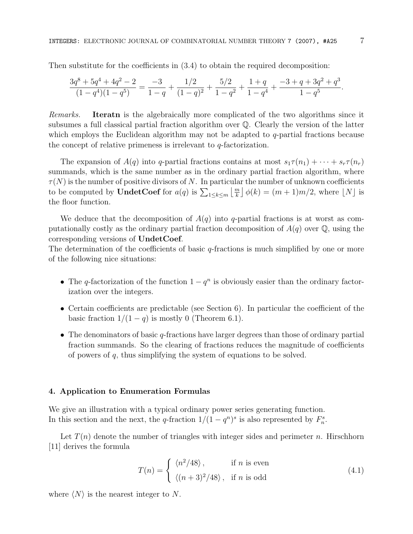Then substitute for the coefficients in (3.4) to obtain the required decomposition:

$$
\frac{3q^8+5q^4+4q^2-2}{(1-q^4)(1-q^5)}=\frac{-3}{1-q}+\frac{1/2}{(1-q)^2}+\frac{5/2}{1-q^2}+\frac{1+q}{1-q^4}+\frac{-3+q+3q^2+q^3}{1-q^5}.
$$

Remarks. Iteratn is the algebraically more complicated of the two algorithms since it subsumes a full classical partial fraction algorithm over Q. Clearly the version of the latter which employs the Euclidean algorithm may not be adapted to  $q$ -partial fractions because the concept of relative primeness is irrelevant to  $q$ -factorization.

The expansion of  $A(q)$  into q-partial fractions contains at most  $s_1\tau(n_1) + \cdots + s_r\tau(n_r)$ summands, which is the same number as in the ordinary partial fraction algorithm, where  $\tau(N)$  is the number of positive divisors of N. In particular the number of unknown coefficients to be computed by **UndetCoef** for  $a(q)$  is  $\sum_{1 \leq k \leq m}$  $\left\lfloor \frac{m}{k} \right\rfloor \phi(k) = (m+1)m/2$ , where  $\lfloor N \rfloor$  is the floor function.

We deduce that the decomposition of  $A(q)$  into q-partial fractions is at worst as computationally costly as the ordinary partial fraction decomposition of  $A(q)$  over  $\mathbb{Q}$ , using the corresponding versions of UndetCoef.

The determination of the coefficients of basic q-fractions is much simplified by one or more of the following nice situations:

- The q-factorization of the function  $1 q^n$  is obviously easier than the ordinary factorization over the integers.
- Certain coefficients are predictable (see Section 6). In particular the coefficient of the basic fraction  $1/(1-q)$  is mostly 0 (Theorem 6.1).
- The denominators of basic q-fractions have larger degrees than those of ordinary partial fraction summands. So the clearing of fractions reduces the magnitude of coefficients of powers of  $q$ , thus simplifying the system of equations to be solved.

#### 4. Application to Enumeration Formulas

We give an illustration with a typical ordinary power series generating function. In this section and the next, the q-fraction  $1/(1-q^n)^s$  is also represented by  $F_n^s$ .

Let  $T(n)$  denote the number of triangles with integer sides and perimeter n. Hirschhorn [11] derives the formula

$$
T(n) = \begin{cases} \langle n^2/48 \rangle, & \text{if } n \text{ is even} \\ \langle (n+3)^2/48 \rangle, & \text{if } n \text{ is odd} \end{cases}
$$
(4.1)

where  $\langle N \rangle$  is the nearest integer to N.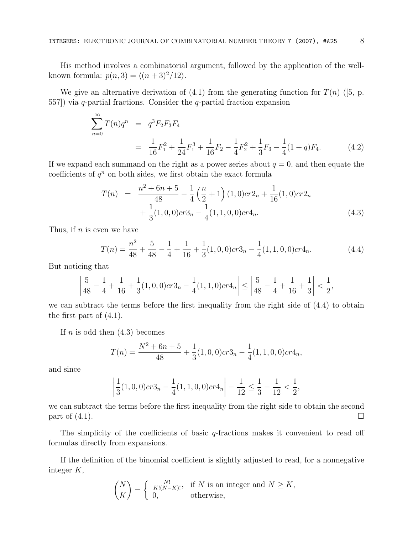His method involves a combinatorial argument, followed by the application of the wellknown formula:  $p(n, 3) = \langle (n+3)^2/12 \rangle$ .

We give an alternative derivation of  $(4.1)$  from the generating function for  $T(n)$  ([5, p. 557]) via q-partial fractions. Consider the q-partial fraction expansion

$$
\sum_{n=0}^{\infty} T(n)q^n = q^3 F_2 F_3 F_4
$$
  
= 
$$
\frac{1}{16} F_1^2 + \frac{1}{24} F_1^3 + \frac{1}{16} F_2 - \frac{1}{4} F_2^2 + \frac{1}{3} F_3 - \frac{1}{4} (1+q) F_4.
$$
 (4.2)

If we expand each summand on the right as a power series about  $q = 0$ , and then equate the coefficients of  $q^n$  on both sides, we first obtain the exact formula

$$
T(n) = \frac{n^2 + 6n + 5}{48} - \frac{1}{4} \left(\frac{n}{2} + 1\right) (1, 0) cr 2_n + \frac{1}{16} (1, 0) cr 2_n + \frac{1}{3} (1, 0, 0) cr 3_n - \frac{1}{4} (1, 1, 0, 0) cr 4_n.
$$
\n(4.3)

Thus, if  $n$  is even we have

$$
T(n) = \frac{n^2}{48} + \frac{5}{48} - \frac{1}{4} + \frac{1}{16} + \frac{1}{3}(1,0,0)cr3_n - \frac{1}{4}(1,1,0,0)cr4_n.
$$
 (4.4)

But noticing that

$$
\left|\frac{5}{48}-\frac{1}{4}+\frac{1}{16}+\frac{1}{3}(1,0,0)cr3_n-\frac{1}{4}(1,1,0)cr4_n\right|\leq \left|\frac{5}{48}-\frac{1}{4}+\frac{1}{16}+\frac{1}{3}\right|<\frac{1}{2},
$$

we can subtract the terms before the first inequality from the right side of (4.4) to obtain the first part of (4.1).

If  $n$  is odd then  $(4.3)$  becomes

$$
T(n) = \frac{N^2 + 6n + 5}{48} + \frac{1}{3}(1, 0, 0)cr3_n - \frac{1}{4}(1, 1, 0, 0)cr4_n,
$$

and since

$$
\left|\frac{1}{3}(1,0,0)cr3_n-\frac{1}{4}(1,1,0,0)cr4_n\right|-\frac{1}{12}\leq \frac{1}{3}-\frac{1}{12}<\frac{1}{2},
$$

we can subtract the terms before the first inequality from the right side to obtain the second part of  $(4.1)$ .

The simplicity of the coefficients of basic  $q$ -fractions makes it convenient to read off formulas directly from expansions.

If the definition of the binomial coefficient is slightly adjusted to read, for a nonnegative integer K,

$$
\binom{N}{K} = \begin{cases} \frac{N!}{K!(N-K)!}, & \text{if } N \text{ is an integer and } N \ge K, \\ 0, & \text{otherwise,} \end{cases}
$$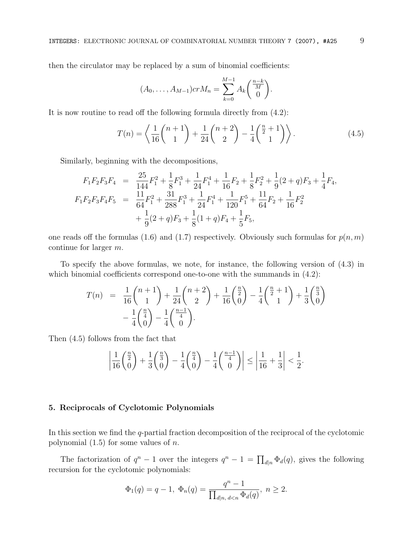then the circulator may be replaced by a sum of binomial coefficients:

$$
(A_0, ..., A_{M-1})crM_n = \sum_{k=0}^{M-1} A_k \binom{\frac{n-k}{M}}{0}.
$$

It is now routine to read off the following formula directly from (4.2):

$$
T(n) = \left\langle \frac{1}{16} {n+1 \choose 1} + \frac{1}{24} {n+2 \choose 2} - \frac{1}{4} {\frac{n+1}{2}} \right\rangle.
$$
 (4.5)

Similarly, beginning with the decompositions,

$$
F_1F_2F_3F_4 = \frac{25}{144}F_1^2 + \frac{1}{8}F_1^3 + \frac{1}{24}F_1^4 + \frac{1}{16}F_2 + \frac{1}{8}F_2^2 + \frac{1}{9}(2+q)F_3 + \frac{1}{4}F_4,
$$
  
\n
$$
F_1F_2F_3F_4F_5 = \frac{11}{64}F_1^2 + \frac{31}{288}F_1^3 + \frac{1}{24}F_1^4 + \frac{1}{120}F_1^5 + \frac{11}{64}F_2 + \frac{1}{16}F_2^2 + \frac{1}{9}(2+q)F_3 + \frac{1}{8}(1+q)F_4 + \frac{1}{5}F_5,
$$

one reads off the formulas (1.6) and (1.7) respectively. Obviously such formulas for  $p(n, m)$ continue for larger m.

To specify the above formulas, we note, for instance, the following version of (4.3) in which binomial coefficients correspond one-to-one with the summands in  $(4.2)$ :

$$
T(n) = \frac{1}{16} {n+1 \choose 1} + \frac{1}{24} {n+2 \choose 2} + \frac{1}{16} {n \choose 0} - \frac{1}{4} {n+1 \choose 1} + \frac{1}{3} {n \choose 0} - \frac{1}{4} {n \choose 1} - \frac{1}{4} {n-1 \choose 0}.
$$

Then (4.5) follows from the fact that

$$
\left|\frac{1}{16}\binom{\frac{n}{2}}{0}+\frac{1}{3}\binom{\frac{n}{3}}{0}-\frac{1}{4}\binom{\frac{n}{4}}{0}-\frac{1}{4}\binom{\frac{n-1}{4}}{0}\right|\leq \left|\frac{1}{16}+\frac{1}{3}\right|<\frac{1}{2}.
$$

## 5. Reciprocals of Cyclotomic Polynomials

In this section we find the q-partial fraction decomposition of the reciprocal of the cyclotomic polynomial  $(1.5)$  for some values of *n*.

The factorization of  $q^n - 1$  over the integers  $q^n - 1 = \prod_{d|n} \Phi_d(q)$ , gives the following recursion for the cyclotomic polynomials:

$$
\Phi_1(q) = q - 1, \ \Phi_n(q) = \frac{q^n - 1}{\prod_{d|n, d < n} \Phi_d(q)}, \ n \ge 2.
$$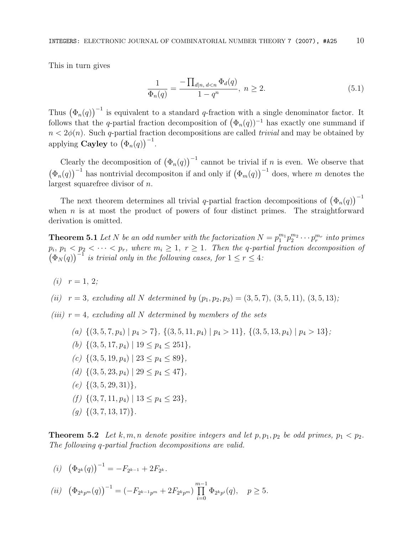This in turn gives

$$
\frac{1}{\Phi_n(q)} = \frac{-\prod_{d|n, d < n} \Phi_d(q)}{1 - q^n}, \ n \ge 2. \tag{5.1}
$$

Thus  $(\Phi_n(q))^{-1}$  is equivalent to a standard q-fraction with a single denominator factor. It follows that the q-partial fraction decomposition of  $(\Phi_n(q))^{-1}$  has exactly one summand if  $n < 2\phi(n)$ . Such q-partial fraction decompositions are called *trivial* and may be obtained by applying **Cayley** to  $(\Phi_n(q))^{-1}$ .

Clearly the decomposition of  $(\Phi_n(q))^{-1}$  cannot be trivial if n is even. We observe that  $(\Phi_n(q))^{-1}$  has nontrivial decompositon if and only if  $(\Phi_m(q))^{-1}$  does, where m denotes the largest squarefree divisor of n.

The next theorem determines all trivial q-partial fraction decompositions of  $(\Phi_n(q))^{-1}$ when  $n$  is at most the product of powers of four distinct primes. The straightforward derivation is omitted.

**Theorem 5.1** Let N be an odd number with the factorization  $N = p_1^{m_1} p_2^{m_2} \cdots p_r^{m_r}$  into primes  $p_i, p_1 < p_2 < \cdots < p_r$ , where  $m_i \geq 1$ ,  $r \geq 1$ . Then the q-partial fraction decomposition of  $(\Phi_N(q))^{\text{-}1}$  is trivial only in the following cases, for  $1 \leq r \leq 4$ :

- (*i*)  $r = 1, 2$ ;
- (ii)  $r = 3$ , excluding all N determined by  $(p_1, p_2, p_3) = (3, 5, 7), (3, 5, 11), (3, 5, 13)$ ;
- (iii)  $r = 4$ , excluding all N determined by members of the sets
	- (a)  $\{(3, 5, 7, p_4) | p_4 > 7\}, \{(3, 5, 11, p_4) | p_4 > 11\}, \{(3, 5, 13, p_4) | p_4 > 13\};$
	- (b)  $\{(3, 5, 17, p_4) \mid 19 \leq p_4 \leq 251\},\$
	- (c)  $\{(3, 5, 19, p_4) \mid 23 \leq p_4 \leq 89\},\$
	- (d)  $\{(3, 5, 23, p_4) | 29 \leq p_4 \leq 47\},\$
	- $(e) \{ (3, 5, 29, 31) \},\$
	- (f)  $\{(3, 7, 11, p_4) \mid 13 \leq p_4 \leq 23\},\$
	- $(q) \{ (3, 7, 13, 17) \}.$

**Theorem 5.2** Let k, m, n denote positive integers and let  $p, p_1, p_2$  be odd primes,  $p_1 < p_2$ . The following q-partial fraction decompositions are valid.

$$
(i) \ \left(\Phi_{2^k}(q)\right)^{-1} = -F_{2^{k-1}} + 2F_{2^k}.
$$

$$
(ii) \ \left(\Phi_{2^{k}p^{m}}(q)\right)^{-1} = \left(-F_{2^{k-1}p^{m}} + 2F_{2^{k}p^{m}}\right) \prod_{i=0}^{m-1} \Phi_{2^{k}p^{i}}(q), \quad p \ge 5.
$$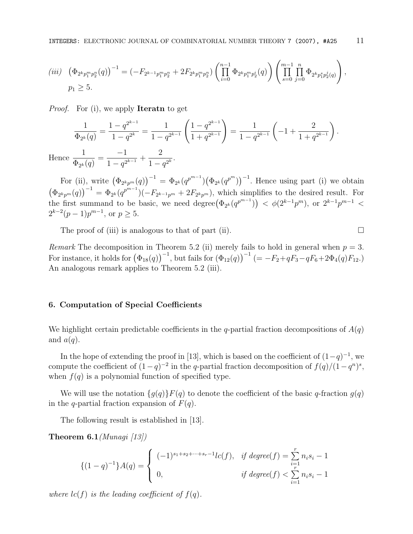$$
(iii) \quad \left(\Phi_{2^k p_1^m p_2^n}(q)\right)^{-1} = \left(-F_{2^{k-1}p_1^m p_2^n} + 2F_{2^k p_1^m p_2^n}\right) \left(\prod_{i=0}^{n-1} \Phi_{2^k p_1^m p_2^i}(q)\right) \left(\prod_{s=0}^{m-1} \prod_{j=0}^n \Phi_{2^k p_1^s p_2^j}(q)\right),
$$
  
\n
$$
p_1 \geq 5.
$$

*Proof.* For (i), we apply **Iterate** to get

$$
\frac{1}{\Phi_{2^k}(q)} = \frac{1 - q^{2^{k-1}}}{1 - q^{2^k}} = \frac{1}{1 - q^{2^{k-1}}} \left( \frac{1 - q^{2^{k-1}}}{1 + q^{2^{k-1}}} \right) = \frac{1}{1 - q^{2^{k-1}}} \left( -1 + \frac{2}{1 + q^{2^{k-1}}} \right).
$$

$$
\frac{1}{\Phi_{2^k}(q)} = \frac{-1}{1 - q^{2^{k-1}}} + \frac{2}{1 - q^{2^k}}.
$$

**Hence**  $\frac{1}{\Phi_{2^k}(q)} = \frac{-1}{1-q^{2^{k-1}}} +$  $\frac{2}{1-q^{2^k}}$ .

For (ii), write  $(\Phi_{2^k p^m}(q))^{-1} = \Phi_{2^k}(q^{p^{m-1}})(\Phi_{2^k}(q^{p^m}))^{-1}$ . Hence using part (i) we obtain  $(\Phi_{2^k p^m}(q))^{-1} = \Phi_{2^k}(q^{p^{m-1}})(-F_{2^{k-1}p^m} + 2F_{2^k p^m})$ , which simplifies to the desired result. For the first summand to be basic, we need degree $(\Phi_{2^k}(q^{p^{m-1}})) < \phi(2^{k-1}p^m)$ , or  $2^{k-1}p^{m-1} <$  $2^{k-2}(p-1)p^{m-1}$ , or  $p \ge 5$ .

The proof of (iii) is analogous to that of part (ii).  $\Box$ 

Remark The decomposition in Theorem 5.2 (ii) merely fails to hold in general when  $p = 3$ . For instance, it holds for  $(\Phi_{18}(q))^{-1}$ , but fails for  $(\Phi_{12}(q))^{-1}$   $(= -F_2+qF_3-qF_6+2\Phi_4(q)F_{12})$ . An analogous remark applies to Theorem 5.2 (iii).

### 6. Computation of Special Coefficients

We highlight certain predictable coefficients in the q-partial fraction decompositions of  $A(q)$ and  $a(q)$ .

In the hope of extending the proof in [13], which is based on the coefficient of  $(1-q)^{-1}$ , we compute the coefficient of  $(1-q)^{-2}$  in the q-partial fraction decomposition of  $f(q)/(1-q^n)^s$ , when  $f(q)$  is a polynomial function of specified type.

We will use the notation  $\{g(q)\}F(q)$  to denote the coefficient of the basic q-fraction  $g(q)$ in the q-partial fraction expansion of  $F(q)$ .

The following result is established in [13].

**Theorem 6.1** (Munagi [13])

$$
\{(1-q)^{-1}\}A(q) = \begin{cases} (-1)^{s_1+s_2+\cdots+s_r-1}lc(f), & \text{if degree}(f) = \sum_{i=1}^r n_i s_i - 1\\ 0, & \text{if degree}(f) < \sum_{i=1}^r n_i s_i - 1 \end{cases}
$$

where  $lc(f)$  is the leading coefficient of  $f(q)$ .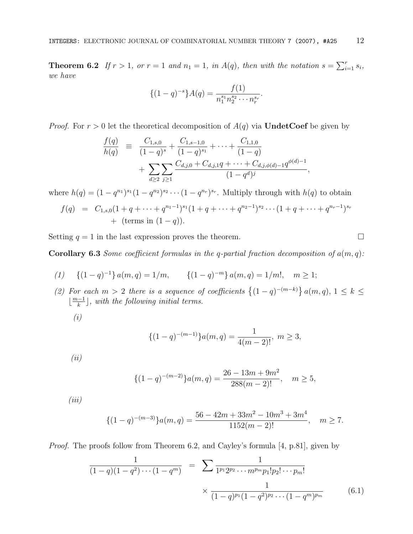**Theorem 6.2** If  $r > 1$ , or  $r = 1$  and  $n_1 = 1$ , in  $A(q)$ , then with the notation  $s = \sum_{i=1}^{r} s_i$ , we have

$$
\{(1-q)^{-s}\}A(q) = \frac{f(1)}{n_1^{s_1}n_2^{s_2}\cdots n_r^{s_r}}.
$$

*Proof.* For  $r > 0$  let the theoretical decomposition of  $A(q)$  via UndetCoef be given by

$$
\frac{f(q)}{h(q)} = \frac{C_{1,s,0}}{(1-q)^s} + \frac{C_{1,s-1,0}}{(1-q)^{s_1}} + \cdots + \frac{C_{1,1,0}}{(1-q)} + \sum_{d \ge 2} \sum_{j \ge 1} \frac{C_{d,j,0} + C_{d,j,1}q + \cdots + C_{d,j,\phi(d)-1}q^{\phi(d)-1}}{(1-q^d)^j},
$$

where  $h(q) = (1 - q^{n_1})^{s_1} (1 - q^{n_2})^{s_2} \cdots (1 - q^{n_r})^{s_r}$ . Multiply through with  $h(q)$  to obtain

$$
f(q) = C_{1,s,0}(1 + q + \dots + q^{n_1-1})^{s_1}(1 + q + \dots + q^{n_2-1})^{s_2} \dots (1 + q + \dots + q^{n_r-1})^{s_r}
$$
  
+ (terms in (1-q)).

Setting  $q = 1$  in the last expression proves the theorem.

Corollary 6.3 Some coefficient formulas in the q-partial fraction decomposition of  $a(m, q)$ :

(1) 
$$
\{(1-q)^{-1}\}\,a(m,q)=1/m,
$$
  $\{(1-q)^{-m}\}\,a(m,q)=1/m!,\, m\geq 1;$ 

(2) For each  $m > 2$  there is a sequence of coefficients  $\{(1-q)^{-(m-k)}\}$   $a(m, q), 1 \leq k \leq$  $\lfloor \frac{m-1}{k} \rfloor$ , with the following initial terms.

(i)

$$
\{(1-q)^{-(m-1)}\}a(m,q) = \frac{1}{4(m-2)!}, \ m \ge 3,
$$

 $(ii)$ 

$$
\{(1-q)^{-(m-2)}\}a(m,q) = \frac{26 - 13m + 9m^2}{288(m-2)!}, \quad m \ge 5,
$$

 $(iii)$ 

$$
\{(1-q)^{-(m-3)}\}a(m,q) = \frac{56 - 42m + 33m^2 - 10m^3 + 3m^4}{1152(m-2)!}, \quad m \ge 7.
$$

Proof. The proofs follow from Theorem 6.2, and Cayley's formula [4, p.81], given by

$$
\frac{1}{(1-q)(1-q^2)\cdots(1-q^m)} = \sum \frac{1}{1^{p_1}2^{p_2}\cdots m^{p_m}p_1!p_2!\cdots p_m!} \times \frac{1}{(1-q)^{p_1}(1-q^2)^{p_2}\cdots(1-q^m)^{p_m}}
$$
(6.1)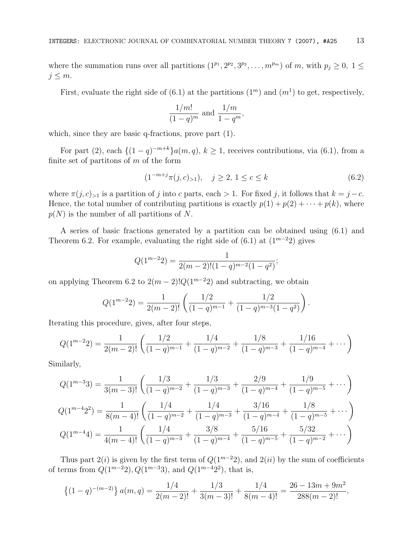where the summation runs over all partitions  $(1^{p_1}, 2^{p_2}, 3^{p_3}, \ldots, m^{p_m})$  of m, with  $p_j \ge 0, 1 \le$  $j \leq m$ .

First, evaluate the right side of (6.1) at the partitions  $(1<sup>m</sup>)$  and  $(m<sup>1</sup>)$  to get, respectively,

$$
\frac{1/m!}{(1-q)^m}
$$
 and 
$$
\frac{1/m}{1-q^m}
$$
,

which, since they are basic q-fractions, prove part (1).

For part (2), each  $\{(1-q)^{-m+k}\}\alpha(m,q), k \ge 1$ , receives contributions, via (6.1), from a finite set of partitions of  $m$  of the form

$$
(1^{-m+j}\pi(j,c)_{>1}), \quad j \ge 2, \ 1 \le c \le k \tag{6.2}
$$

.

where  $\pi(j, c)_{>1}$  is a partition of j into c parts, each > 1. For fixed j, it follows that  $k = j - c$ . Hence, the total number of contributing partitions is exactly  $p(1) + p(2) + \cdots + p(k)$ , where  $p(N)$  is the number of all partitions of N.

A series of basic fractions generated by a partition can be obtained using (6.1) and Theorem 6.2. For example, evaluating the right side of (6.1) at  $(1^{m-2}2)$  gives

$$
Q(1^{m-2}2) = \frac{1}{2(m-2)!(1-q)^{m-2}(1-q^2)};
$$

on applying Theorem 6.2 to  $2(m-2)!Q(1^{m-2}2)$  and subtracting, we obtain

$$
Q(1^{m-2}2) = \frac{1}{2(m-2)!} \left( \frac{1/2}{(1-q)^{m-1}} + \frac{1/2}{(1-q)^{m-3}(1-q^2)} \right)
$$

Iterating this procedure, gives, after four steps,

$$
Q(1^{m-2}2) = \frac{1}{2(m-2)!} \left( \frac{1/2}{(1-q)^{m-1}} + \frac{1/4}{(1-q)^{m-2}} + \frac{1/8}{(1-q)^{m-3}} + \frac{1/16}{(1-q)^{m-4}} + \cdots \right)
$$

Similarly,

$$
Q(1^{m-3}3) = \frac{1}{3(m-3)!} \left( \frac{1/3}{(1-q)^{m-2}} + \frac{1/3}{(1-q)^{m-3}} + \frac{2/9}{(1-q)^{m-4}} + \frac{1/9}{(1-q)^{m-5}} + \cdots \right)
$$
  

$$
Q(1^{m-4}2^2) = \frac{1}{8(m-4)!} \left( \frac{1/4}{(1-q)^{m-2}} + \frac{1/4}{(1-q)^{m-3}} + \frac{3/16}{(1-q)^{m-4}} + \frac{1/8}{(1-q)^{m-5}} + \cdots \right)
$$
  

$$
Q(1^{m-4}4) = \frac{1}{4(m-4)!} \left( \frac{1/4}{(1-q)^{m-3}} + \frac{3/8}{(1-q)^{m-4}} + \frac{5/16}{(1-q)^{m-5}} + \frac{5/32}{(1-q)^{m-2}} + \cdots \right)
$$

Thus part  $2(i)$  is given by the first term of  $Q(1^{m-2}2)$ , and  $2(ii)$  by the sum of coefficients of terms from  $Q(1^{m-2}2), Q(1^{m-3}3),$  and  $Q(1^{m-4}2^2),$  that is,

$$
\{(1-q)^{-(m-2)}\} a(m,q) = \frac{1/4}{2(m-2)!} + \frac{1/3}{3(m-3)!} + \frac{1/4}{8(m-4)!} = \frac{26-13m+9m^2}{288(m-2)!},
$$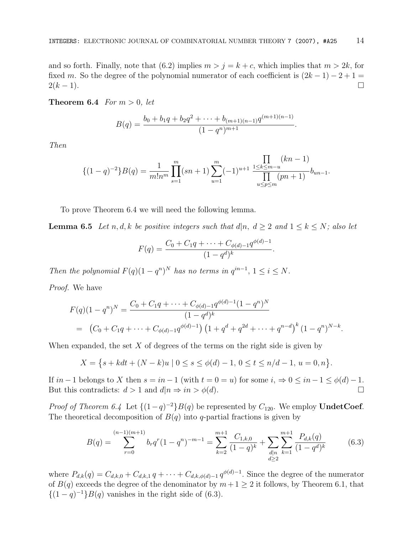and so forth. Finally, note that (6.2) implies  $m > j = k + c$ , which implies that  $m > 2k$ , for fixed m. So the degree of the polynomial numerator of each coefficient is  $(2k - 1) - 2 + 1 = 2(k - 1)$ .  $2(k-1)$ .

**Theorem 6.4** For  $m > 0$ , let

$$
B(q) = \frac{b_0 + b_1q + b_2q^2 + \dots + b_{(m+1)(n-1)}q^{(m+1)(n-1)}}{(1-q^n)^{m+1}}.
$$

Then

$$
\{(1-q)^{-2}\}B(q) = \frac{1}{m!n^m} \prod_{s=1}^m (sn+1) \sum_{u=1}^m (-1)^{u+1} \frac{\prod_{1 \le k \le m-u} (kn-1)}{\prod_{u \le p \le m} (pn+1)} b_{un-1}.
$$

To prove Theorem 6.4 we will need the following lemma.

**Lemma 6.5** Let n, d, k be positive integers such that  $d|n, d \geq 2$  and  $1 \leq k \leq N$ ; also let

$$
F(q) = \frac{C_0 + C_1 q + \dots + C_{\phi(d)-1} q^{\phi(d)-1}}{(1-q^d)^k}.
$$

Then the polynomial  $F(q)(1-q^n)^N$  has no terms in  $q^{in-1}$ ,  $1 \leq i \leq N$ .

Proof. We have

$$
F(q)(1-q^n)^N = \frac{C_0 + C_1q + \dots + C_{\phi(d)-1}q^{\phi(d)-1}(1-q^n)^N}{(1-q^d)^k}
$$
  
=  $(C_0 + C_1q + \dots + C_{\phi(d)-1}q^{\phi(d)-1})(1+q^d+q^{2d}+\dots+q^{n-d})^k(1-q^n)^{N-k}.$ 

When expanded, the set  $X$  of degrees of the terms on the right side is given by

$$
X = \{ s + kdt + (N - k)u \mid 0 \le s \le \phi(d) - 1, 0 \le t \le n/d - 1, u = 0, n \}.
$$

If  $in-1$  belongs to X then  $s = in-1$  (with  $t = 0 = u$ ) for some  $i, \Rightarrow 0 \le in-1 \le \phi(d) - 1$ .<br>But this contradicts:  $d > 1$  and  $d|n \Rightarrow in > \phi(d)$ . But this contradicts:  $d > 1$  and  $d|n \Rightarrow in > \phi(d)$ .

*Proof of Theorem 6.4* Let  $\{(1-q)^{-2}\}B(q)$  be represented by  $C_{120}$ . We employ **UndetCoef.** The theoretical decomposition of  $B(q)$  into q-partial fractions is given by

$$
B(q) = \sum_{r=0}^{(n-1)(m+1)} b_r q^r (1-q^n)^{-m-1} = \sum_{k=2}^{m+1} \frac{C_{1,k,0}}{(1-q)^k} + \sum_{\substack{d|n \ d \ge 2}} \sum_{k=1}^{m+1} \frac{P_{d,k}(q)}{(1-q^d)^k}
$$
(6.3)

where  $P_{d,k}(q) = C_{d,k,0} + C_{d,k,1} q + \cdots + C_{d,k,\phi(d)-1} q^{\phi(d)-1}$ . Since the degree of the numerator of  $B(q)$  exceeds the degree of the denominator by  $m+1 \geq 2$  it follows, by Theorem 6.1, that  $\{(1-q)^{-1}\}B(q)$  vanishes in the right side of (6.3).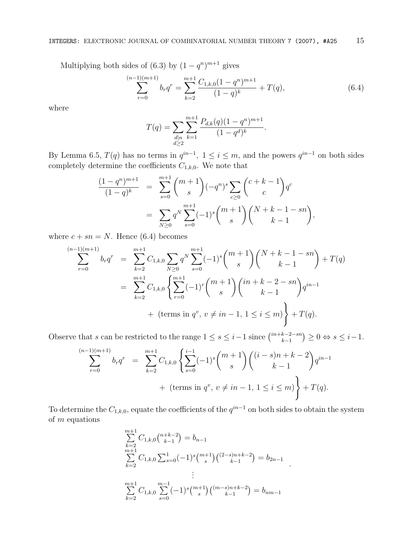Multiplying both sides of (6.3) by  $(1 - q^n)^{m+1}$  gives

$$
\sum_{r=0}^{(n-1)(m+1)} b_r q^r = \sum_{k=2}^{m+1} \frac{C_{1,k,0} (1-q^n)^{m+1}}{(1-q)^k} + T(q), \tag{6.4}
$$

where

$$
T(q) = \sum_{\substack{d|n \\ d\geq 2}} \sum_{k=1}^{m+1} \frac{P_{d,k}(q)(1-q^n)^{m+1}}{(1-q^d)^k}.
$$

By Lemma 6.5,  $T(q)$  has no terms in  $q^{in-1}$ ,  $1 \le i \le m$ , and the powers  $q^{in-1}$  on both sides completely determine the coefficients  $C_{1,k,0}$ . We note that

$$
\frac{(1-q^n)^{m+1}}{(1-q)^k} = \sum_{s=0}^{m+1} \binom{m+1}{s} (-q^n)^s \sum_{c \ge 0} \binom{c+k-1}{c} q^c
$$

$$
= \sum_{N \ge 0} q^N \sum_{s=0}^{m+1} (-1)^s \binom{m+1}{s} \binom{N+k-1-sn}{k-1},
$$

where  $c + sn = N$ . Hence (6.4) becomes

$$
\sum_{r=0}^{(n-1)(m+1)} b_r q^r = \sum_{k=2}^{m+1} C_{1,k,0} \sum_{N \ge 0} q^N \sum_{s=0}^{m+1} (-1)^s {m+1 \choose s} {N+k-1 - sn \choose k-1} + T(q)
$$
  

$$
= \sum_{k=2}^{m+1} C_{1,k,0} \left\{ \sum_{r=0}^{m+1} (-1)^r {m+1 \choose s} {in+k-2 - sn \choose k-1} q^{in-1} + (\text{terms in } q^v, v \ne in-1, 1 \le i \le m) \right\} + T(q).
$$

Observe that s can be restricted to the range  $1 \leq s \leq i-1$  since  $\binom{in+k-2-sn}{k-1}$  $\big) \geq 0 \Leftrightarrow s \leq i-1.$ 

$$
\sum_{r=0}^{(n-1)(m+1)} b_r q^r = \sum_{k=2}^{m+1} C_{1,k,0} \left\{ \sum_{s=0}^{i-1} (-1)^s {m+1 \choose s} {(i-s)n+k-2 \choose k-1} q^{in-1} + (\text{terms in } q^v, v \neq in-1, 1 \leq i \leq m) \right\} + T(q).
$$

To determine the  $C_{1,k,0}$ , equate the coefficients of the  $q^{in-1}$  on both sides to obtain the system of  $m$  equations

$$
\sum_{k=2}^{m+1} C_{1,k,0} \binom{n+k-2}{k-1} = b_{n-1}
$$
\n
$$
\sum_{k=2}^{m+1} C_{1,k,0} \sum_{s=0}^{1} (-1)^s \binom{m+1}{s} \binom{(2-s)n+k-2}{k-1} = b_{2n-1}
$$
\n
$$
\vdots
$$
\n
$$
\sum_{k=2}^{m+1} C_{1,k,0} \sum_{s=0}^{m-1} (-1)^s \binom{m+1}{s} \binom{(m-s)n+k-2}{k-1} = b_{nm-1}
$$

.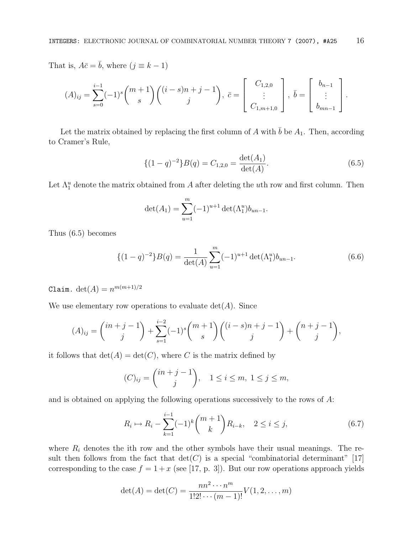That is,  $A\bar{c} = \bar{b}$ , where  $(j \equiv k - 1)$ 

$$
(A)_{ij} = \sum_{s=0}^{i-1} (-1)^s {m+1 \choose s} {i-s \choose j} + j - 1, \quad \bar{c} = \begin{bmatrix} C_{1,2,0} \\ \vdots \\ C_{1,m+1,0} \end{bmatrix}, \quad \bar{b} = \begin{bmatrix} b_{n-1} \\ \vdots \\ b_{mn-1} \end{bmatrix}.
$$

Let the matrix obtained by replacing the first column of A with  $\bar{b}$  be  $A_1$ . Then, according to Cramer's Rule,

$$
\{(1-q)^{-2}\}B(q) = C_{1,2,0} = \frac{\det(A_1)}{\det(A)}.
$$
\n(6.5)

Let  $\Lambda_1^u$  denote the matrix obtained from A after deleting the uth row and first column. Then

$$
\det(A_1) = \sum_{u=1}^{m} (-1)^{u+1} \det(\Lambda_1^u) b_{un-1}.
$$

Thus (6.5) becomes

$$
\{(1-q)^{-2}\}B(q) = \frac{1}{\det(A)} \sum_{u=1}^{m} (-1)^{u+1} \det(\Lambda_1^u) b_{un-1}.
$$
 (6.6)

Claim. det(A) =  $n^{m(m+1)/2}$ 

We use elementary row operations to evaluate  $\det(A)$ . Since

$$
(A)_{ij} = {in+j-1 \choose j} + \sum_{s=1}^{i-2} (-1)^s {m+1 \choose s} {(i-s)n+j-1 \choose j} + {n+j-1 \choose j},
$$

it follows that  $\det(A) = \det(C)$ , where C is the matrix defined by

$$
(C)_{ij} = \binom{in+j-1}{j}, \quad 1 \le i \le m, \ 1 \le j \le m,
$$

and is obtained on applying the following operations successively to the rows of A:

$$
R_i \mapsto R_i - \sum_{k=1}^{i-1} (-1)^k \binom{m+1}{k} R_{i-k}, \quad 2 \le i \le j,
$$
\n(6.7)

where  $R_i$  denotes the ith row and the other symbols have their usual meanings. The result then follows from the fact that  $\det(C)$  is a special "combinatorial determinant" [17] corresponding to the case  $f = 1 + x$  (see [17, p. 3]). But our row operations approach yields

$$
\det(A) = \det(C) = \frac{nn^2 \cdots n^m}{1! \cdot 2! \cdots (m-1)!} V(1, 2, \ldots, m)
$$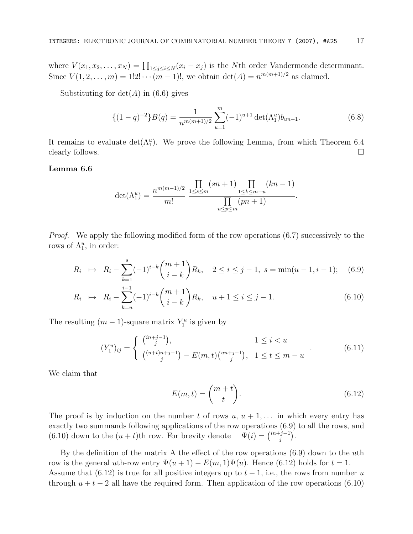where  $V(x_1, x_2, \ldots, x_N) = \prod_{1 \leq j \leq i \leq N} (x_i - x_j)$  is the *N*th order Vandermonde determinant. Since  $V(1, 2, ..., m) = 1!2! \cdots (m-1)!$ , we obtain  $\det(A) = n^{m(m+1)/2}$  as claimed.

Substituting for  $det(A)$  in (6.6) gives

$$
\{(1-q)^{-2}\}B(q) = \frac{1}{n^{m(m+1)/2}} \sum_{u=1}^{m} (-1)^{u+1} \det(\Lambda_1^u) b_{un-1}.
$$
 (6.8)

It remains to evaluate  $\det(\Lambda_1^u)$ . We prove the following Lemma, from which Theorem 6.4 clearly follows.  $\Box$ 

#### Lemma 6.6

$$
\det(\Lambda_1^u) = \frac{n^{m(m-1)/2}}{m!} \frac{\prod\limits_{1 \le s \le m} (sn+1) \prod\limits_{1 \le k \le m-u} (kn-1)}{\prod\limits_{u \le p \le m} (pn+1)}.
$$

Proof. We apply the following modified form of the row operations (6.7) successively to the rows of  $\Lambda_1^u$ , in order:

$$
R_i \mapsto R_i - \sum_{k=1}^s (-1)^{i-k} \binom{m+1}{i-k} R_k, \quad 2 \le i \le j-1, \ s = \min(u-1, i-1); \quad (6.9)
$$

$$
R_i \mapsto R_i - \sum_{k=u}^{i-1} (-1)^{i-k} \binom{m+1}{i-k} R_k, \quad u+1 \le i \le j-1. \tag{6.10}
$$

The resulting  $(m-1)$ -square matrix  $Y_1^u$  is given by

$$
(Y_1^u)_{ij} = \begin{cases} {n+j-1 \choose j}, & 1 \le i < u \\ {n+t}^{n+j-1 \choose j} - E(m,t) {n+j-1 \choose j}, & 1 \le t \le m-u \end{cases}
$$
 (6.11)

We claim that

$$
E(m,t) = \binom{m+t}{t}.
$$
\n(6.12)

The proof is by induction on the number t of rows  $u, u + 1, \ldots$  in which every entry has exactly two summands following applications of the row operations (6.9) to all the rows, and (6.10) down to the  $(u + t)$ th row. For brevity denote  $\binom{j-1}{j}$ .

By the definition of the matrix A the effect of the row operations  $(6.9)$  down to the uth row is the general uth-row entry  $\Psi(u+1) - E(m,1)\Psi(u)$ . Hence (6.12) holds for  $t = 1$ . Assume that (6.12) is true for all positive integers up to  $t-1$ , i.e., the rows from number u through  $u + t - 2$  all have the required form. Then application of the row operations (6.10)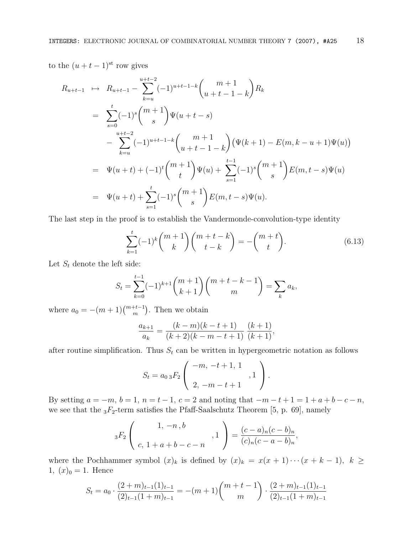to the  $(u + t - 1)$ <sup>st</sup> row gives

$$
R_{u+t-1} \rightarrow R_{u+t-1} - \sum_{k=u}^{u+t-2} (-1)^{u+t-1-k} {m+1 \choose u+t-1-k} R_k
$$
  
\n
$$
= \sum_{s=0}^{t} (-1)^s {m+1 \choose s} \Psi(u+t-s)
$$
  
\n
$$
- \sum_{k=u}^{u+t-2} (-1)^{u+t-1-k} {m+1 \choose u+t-1-k} (\Psi(k+1) - E(m, k-u+1) \Psi(u))
$$
  
\n
$$
= \Psi(u+t) + (-1)^t {m+1 \choose t} \Psi(u) + \sum_{s=1}^{t-1} (-1)^s {m+1 \choose s} E(m, t-s) \Psi(u)
$$
  
\n
$$
= \Psi(u+t) + \sum_{s=1}^t (-1)^s {m+1 \choose s} E(m, t-s) \Psi(u).
$$

The last step in the proof is to establish the Vandermonde-convolution-type identity

$$
\sum_{k=1}^{t} (-1)^k {m+1 \choose k} {m+t-k \choose t-k} = -{m+t \choose t}. \tag{6.13}
$$

Let  $S_t$  denote the left side:

$$
S_t = \sum_{k=0}^{t-1} (-1)^{k+1} {m+1 \choose k+1} {m+t-k-1 \choose m} = \sum_k a_k,
$$

where  $a_0 = -(m+1) \binom{m+t-1}{m}$ . Then we obtain

$$
\frac{a_{k+1}}{a_k} = \frac{(k-m)(k-t+1)}{(k+2)(k-m-t+1)} \frac{(k+1)}{(k+1)},
$$

after routine simplification. Thus  $S_t$  can be written in hypergeometric notation as follows

$$
S_t = a_{0.3} F_2 \left( \begin{array}{c} -m, -t+1, 1 \\ 2, -m-t+1 \end{array} , 1 \right).
$$

By setting  $a = -m$ ,  $b = 1$ ,  $n = t - 1$ ,  $c = 2$  and noting that  $-m - t + 1 = 1 + a + b - c - n$ , we see that the  $_3F_2$ -term satisfies the Pfaff-Saalschutz Theorem [5, p. 69], namely

$$
{}_{3}F_{2}\left(\begin{array}{c}1, -n, b\\c, 1+a+b-c-n\end{array}, 1\right) = \frac{(c-a)_{n}(c-b)_{n}}{(c)_{n}(c-a-b)_{n}},
$$

where the Pochhammer symbol  $(x)_k$  is defined by  $(x)_k = x(x + 1) \cdots (x + k - 1)$ ,  $k \ge$ 1,  $(x)_0 = 1$ . Hence

$$
S_t = a_0 \cdot \frac{(2+m)_{t-1}(1)_{t-1}}{(2)_{t-1}(1+m)_{t-1}} = -(m+1) \binom{m+t-1}{m} \cdot \frac{(2+m)_{t-1}(1)_{t-1}}{(2)_{t-1}(1+m)_{t-1}}
$$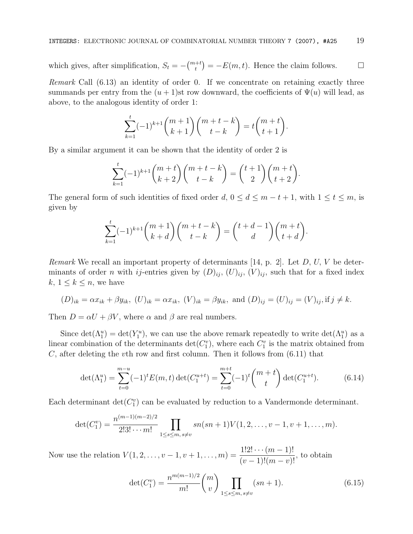which gives, after simplification,  $S_t = -\binom{m+t}{t} = -E(m,t)$ . Hence the claim follows.  $\Box$ 

Remark Call  $(6.13)$  an identity of order 0. If we concentrate on retaining exactly three summands per entry from the  $(u + 1)$ st row downward, the coefficients of  $\Psi(u)$  will lead, as above, to the analogous identity of order 1:

$$
\sum_{k=1}^{t} (-1)^{k+1} \binom{m+1}{k+1} \binom{m+t-k}{t-k} = t \binom{m+t}{t+1}.
$$

By a similar argument it can be shown that the identity of order 2 is

$$
\sum_{k=1}^{t} (-1)^{k+1} \binom{m+t}{k+2} \binom{m+t-k}{t-k} = \binom{t+1}{2} \binom{m+t}{t+2}.
$$

The general form of such identities of fixed order  $d, 0 \le d \le m - t + 1$ , with  $1 \le t \le m$ , is given by

$$
\sum_{k=1}^t (-1)^{k+1} \binom{m+1}{k+d} \binom{m+t-k}{t-k} = \binom{t+d-1}{d} \binom{m+t}{t+d}.
$$

*Remark* We recall an important property of determinants [14, p. 2]. Let  $D$ ,  $U$ ,  $V$  be determinants of order n with ij-entries given by  $(D)_{ij}$ ,  $(U)_{ij}$ ,  $(V)_{ij}$ , such that for a fixed index  $k, 1 \leq k \leq n$ , we have

$$
(D)_{ik} = \alpha x_{ik} + \beta y_{ik}
$$
,  $(U)_{ik} = \alpha x_{ik}$ ,  $(V)_{ik} = \beta y_{ik}$ , and  $(D)_{ij} = (U)_{ij} = (V)_{ij}$ , if  $j \neq k$ .

Then  $D = \alpha U + \beta V$ , where  $\alpha$  and  $\beta$  are real numbers.

Since  $\det(\Lambda_1^u) = \det(Y_1^u)$ , we can use the above remark repeatedly to write  $\det(\Lambda_1^u)$  as a linear combination of the determinants  $\det(C_1^v)$ , where each  $C_1^v$  is the matrix obtained from C, after deleting the vth row and first column. Then it follows from  $(6.11)$  that

$$
\det(\Lambda_1^u) = \sum_{t=0}^{m-u} (-1)^t E(m, t) \det(C_1^{u+t}) = \sum_{t=0}^{m+t} (-1)^t \binom{m+t}{t} \det(C_1^{u+t}). \tag{6.14}
$$

Each determinant  $\det(C_1^v)$  can be evaluated by reduction to a Vandermonde determinant.

$$
\det(C_1^v) = \frac{n^{(m-1)(m-2)/2}}{2! \cdot 3! \cdots m!} \prod_{1 \leq s \leq m, s \neq v} sn(sn+1) V(1, 2, \ldots, v-1, v+1, \ldots, m).
$$

Now use the relation  $V(1, 2, \ldots, v-1, v+1, \ldots, m) = \frac{1!2! \cdots (m-1)!}{(v-1)!(m-v)!}$  $\frac{(w-1)!}{(v-1)!(m-v)!}$ , to obtain

$$
\det(C_1^v) = \frac{n^{m(m-1)/2}}{m!} \binom{m}{v} \prod_{1 \le s \le m, s \ne v} (sn+1). \tag{6.15}
$$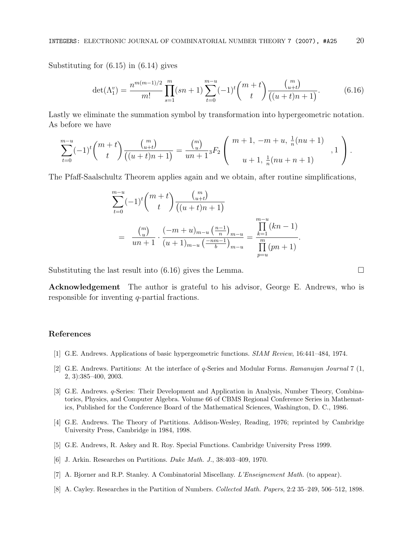Substituting for (6.15) in (6.14) gives

$$
\det(\Lambda_1^v) = \frac{n^{m(m-1)/2}}{m!} \prod_{s=1}^m (sn+1) \sum_{t=0}^{m-u} (-1)^t \binom{m+t}{t} \frac{\binom{m}{u+t}}{\left((u+t)n+1\right)}.
$$
(6.16)

Lastly we eliminate the summation symbol by transformation into hypergeometric notation. As before we have

$$
\sum_{t=0}^{m-u}(-1)^t \binom{m+t}{t} \frac{\binom{m}{u+t}}{\left((u+t)n+1\right)} = \frac{\binom{m}{u}}{un+1} {}_3F_2 \left( \begin{array}{c} m+1, \ -m+u, \frac{1}{n}(nu+1) \\ u+1, \frac{1}{n}(nu+n+1) \end{array} \right).
$$

The Pfaff-Saalschultz Theorem applies again and we obtain, after routine simplifications,

$$
\sum_{t=0}^{m-u} (-1)^t \binom{m+t}{t} \frac{\binom{m}{u+t}}{(\left(u+t\right)n+1)}
$$
\n
$$
= \frac{\binom{m}{u}}{un+1} \cdot \frac{(-m+u)_{m-u} \left(\frac{n-1}{n}\right)_{m-u}}{\left(u+1\right)_{m-u} \left(\frac{-nm-1}{b}\right)_{m-u}} = \frac{\prod_{k=1}^{m-u} (kn-1)}{\prod_{p=u}^{m} (pn+1)}.
$$

Substituting the last result into  $(6.16)$  gives the Lemma.  $\Box$ 

Acknowledgement The author is grateful to his advisor, George E. Andrews, who is responsible for inventing q-partial fractions.

## References

- [1] G.E. Andrews. Applications of basic hypergeometric functions. SIAM Review, 16:441–484, 1974.
- [2] G.E. Andrews. Partitions: At the interface of q-Series and Modular Forms. Ramanujan Journal 7 (1, 2, 3):385–400, 2003.
- [3] G.E. Andrews. q-Series: Their Development and Application in Analysis, Number Theory, Combinatorics, Physics, and Computer Algebra. Volume 66 of CBMS Regional Conference Series in Mathematics, Published for the Conference Board of the Mathematical Sciences, Washington, D. C., 1986.
- [4] G.E. Andrews. The Theory of Partitions. Addison-Wesley, Reading, 1976; reprinted by Cambridge University Press, Cambridge in 1984, 1998.
- [5] G.E. Andrews, R. Askey and R. Roy. Special Functions. Cambridge University Press 1999.
- [6] J. Arkin. Researches on Partitions. Duke Math. J., 38:403–409, 1970.
- [7] A. Bjorner and R.P. Stanley. A Combinatorial Miscellany. L'Enseignement Math. (to appear).
- [8] A. Cayley. Researches in the Partition of Numbers. Collected Math. Papers, 2:2 35–249, 506–512, 1898.